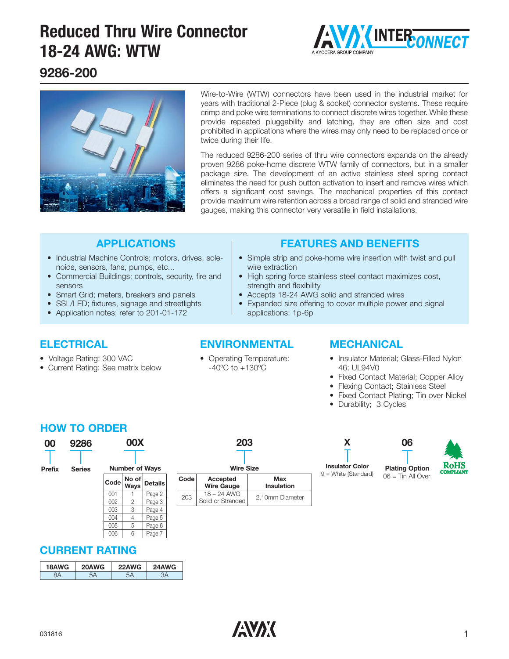

### **9286-200**



Wire-to-Wire (WTW) connectors have been used in the industrial market for years with traditional 2-Piece (plug & socket) connector systems. These require crimp and poke wire terminations to connect discrete wires together. While these provide repeated pluggability and latching, they are often size and cost prohibited in applications where the wires may only need to be replaced once or twice during their life.

The reduced 9286-200 series of thru wire connectors expands on the already proven 9286 poke-home discrete WTW family of connectors, but in a smaller package size. The development of an active stainless steel spring contact eliminates the need for push button activation to insert and remove wires which offers a significant cost savings. The mechanical properties of this contact provide maximum wire retention across a broad range of solid and stranded wire gauges, making this connector very versatile in field installations.

### **APPLICATIONS**

- Industrial Machine Controls; motors, drives, solenoids, sensors, fans, pumps, etc...
- Commercial Buildings; controls, security, fire and sensors
- Smart Grid; meters, breakers and panels
- SSL/LED; fixtures, signage and streetlights
- Application notes; refer to 201-01-172

#### **FEATURES AND BENEFITS**

- Simple strip and poke-home wire insertion with twist and pull wire extraction
- High spring force stainless steel contact maximizes cost, strength and flexibility
- Accepts 18-24 AWG solid and stranded wires
- Expanded size offering to cover multiple power and signal applications: 1p-6p

#### **ELECTRICAL**

- Voltage Rating: 300 VAC
- Current Rating: See matrix below

#### **ENVIRONMENTAL**

• Operating Temperature: -40ºC to +130ºC

#### **MECHANICAL**

- Insulator Material: Glass-Filled Nylon 46; UL94V0
- Fixed Contact Material; Copper Alloy
- Flexing Contact; Stainless Steel
- Fixed Contact Plating; Tin over Nickel

#### • Durability; 3 Cycles

#### **HOW TO ORDER**



| <b>Number of Ways</b> |                      |                |  |  |
|-----------------------|----------------------|----------------|--|--|
| Code                  | No of<br><b>Ways</b> | <b>Details</b> |  |  |
| 001                   |                      | Page 2         |  |  |
| 002                   | 2                    | Page 3         |  |  |
| 003                   | 3                    | Page 4         |  |  |
| 004                   | 4                    | Page 5         |  |  |
| 005                   | 5                    | Page 6         |  |  |
| 006                   | հ                    | Page 7         |  |  |

### **Wire Size Code** Accepted Max<br> **Max** Wire Gauge Misulation **Wire Gauge**  $\begin{array}{|c|c|c|c|}\n\hline\n 203 & 18 - 24 \text{ AWG} & 2.10 \text{mm Diameter}\n\end{array}$

**203**

|                                                | 06                                           |  |
|------------------------------------------------|----------------------------------------------|--|
|                                                |                                              |  |
| <b>Insulator Color</b><br>9 = White (Standard) | <b>Plating Option</b><br>$06 =$ Tin All Over |  |



#### **CURRENT RATING**

| 18AWG | <b>AWG</b> | <b>WG</b> | ٧G  |
|-------|------------|-----------|-----|
|       | 20         | 22 A      | 24A |
|       |            |           |     |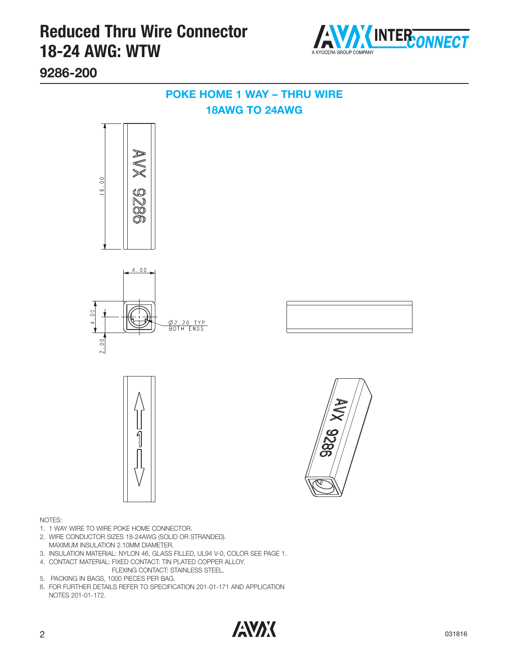

**9286-200**





- 1. 1 WAY WIRE TO WIRE POKE HOME CONNECTOR.
- 2. WIRE CONDUCTOR SIZES 18-24AWG (SOLID OR STRANDED). MAXIMUM INSULATION 2.10MM DIAMETER.
- 3. INSULATION MATERIAL: NYLON 46, GLASS FILLED, UL94 V-0, COLOR SEE PAGE 1.
- 4. CONTACT MATERIAL: FIXED CONTACT: TIN PLATED COPPER ALLOY. FLEXING CONTACT: STAINLESS STEEL.
- 5. PACKING IN BAGS, 1000 PIECES PER BAG.
- 6. FOR FURTHER DETAILS REFER TO SPECIFICATION 201-01-171 AND APPLICATION NOTES 201-01-172.

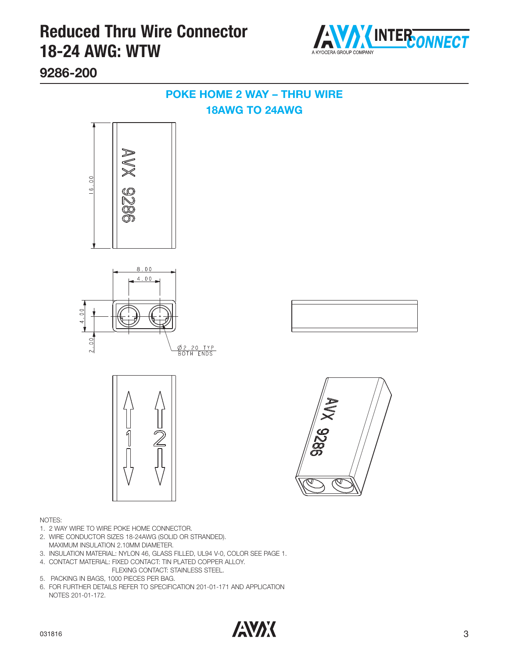

**9286-200**





- 1. 2 WAY WIRE TO WIRE POKE HOME CONNECTOR.
- 2. WIRE CONDUCTOR SIZES 18-24AWG (SOLID OR STRANDED). MAXIMUM INSULATION 2.10MM DIAMETER.
- 3. INSULATION MATERIAL: NYLON 46, GLASS FILLED, UL94 V-0, COLOR SEE PAGE 1.
- 4. CONTACT MATERIAL: FIXED CONTACT: TIN PLATED COPPER ALLOY. FLEXING CONTACT: STAINLESS STEEL.
- 5. PACKING IN BAGS, 1000 PIECES PER BAG.
- 6. FOR FURTHER DETAILS REFER TO SPECIFICATION 201-01-171 AND APPLICATION NOTES 201-01-172.

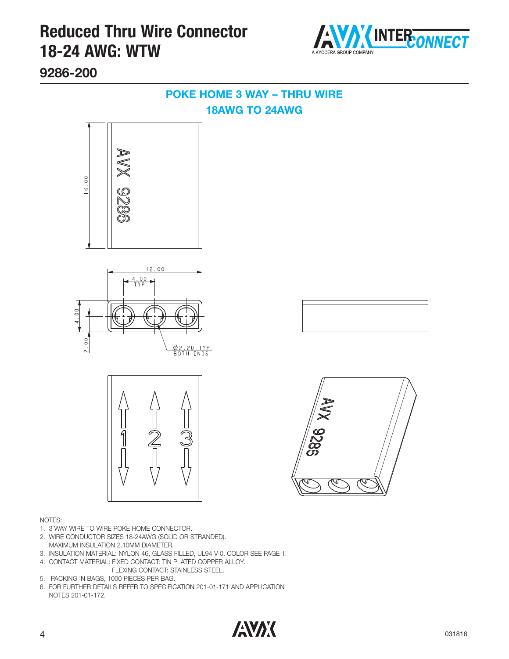

**9286-200**

 $\circ$ 

 $\ddot{\circ}$ 

 $\circ$ 

 $2.00$ .



- 1. 3 WAY WIRE TO WIRE POKE HOME CONNECTOR.
- 2. WIRE CONDUCTOR SIZES 18-24AWG (SOLID OR STRANDED). MAXIMUM INSULATION 2.10MM DIAMETER.
- 3. INSULATION MATERIAL: NYLON 46, GLASS FILLED, UL94 V-0, COLOR SEE PAGE 1.
- 4. CONTACT MATERIAL: FIXED CONTACT: TIN PLATED COPPER ALLOY. FLEXING CONTACT: STAINLESS STEEL.
- 5. PACKING IN BAGS, 1000 PIECES PER BAG.
- 6. FOR FURTHER DETAILS REFER TO SPECIFICATION 201-01-171 AND APPLICATION NOTES 201-01-172.

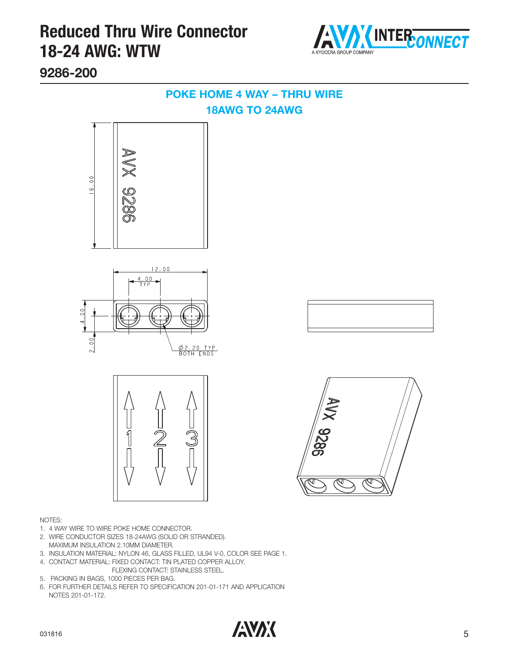

**9286-200**

 $\circ$ 

 $\ddot{\circ}$ 

 $\circ$ 

 $2.00$ 



- 1. 4 WAY WIRE TO WIRE POKE HOME CONNECTOR.
- 2. WIRE CONDUCTOR SIZES 18-24AWG (SOLID OR STRANDED). MAXIMUM INSULATION 2.10MM DIAMETER.
- 3. INSULATION MATERIAL: NYLON 46, GLASS FILLED, UL94 V-0, COLOR SEE PAGE 1.
- 4. CONTACT MATERIAL: FIXED CONTACT: TIN PLATED COPPER ALLOY. FLEXING CONTACT: STAINLESS STEEL.
- 5. PACKING IN BAGS, 1000 PIECES PER BAG.
- 6. FOR FURTHER DETAILS REFER TO SPECIFICATION 201-01-171 AND APPLICATION NOTES 201-01-172.

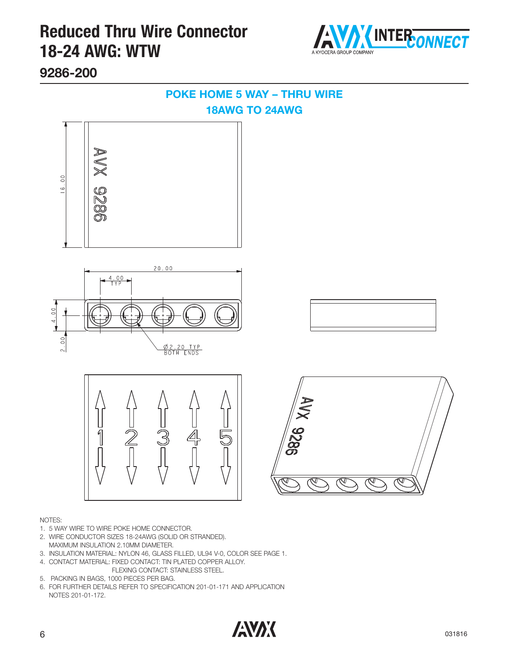

**9286-200**

 $\circ$  $\ddot{\circ}$ 

 $\overline{0}$ 

 $2.00$ .



- 2. WIRE CONDUCTOR SIZES 18-24AWG (SOLID OR STRANDED).
- MAXIMUM INSULATION 2.10MM DIAMETER.
- 3. INSULATION MATERIAL: NYLON 46, GLASS FILLED, UL94 V-0, COLOR SEE PAGE 1.
- 4. CONTACT MATERIAL: FIXED CONTACT: TIN PLATED COPPER ALLOY. FLEXING CONTACT: STAINLESS STEEL.
- 5. PACKING IN BAGS, 1000 PIECES PER BAG.
- 6. FOR FURTHER DETAILS REFER TO SPECIFICATION 201-01-171 AND APPLICATION NOTES 201-01-172.

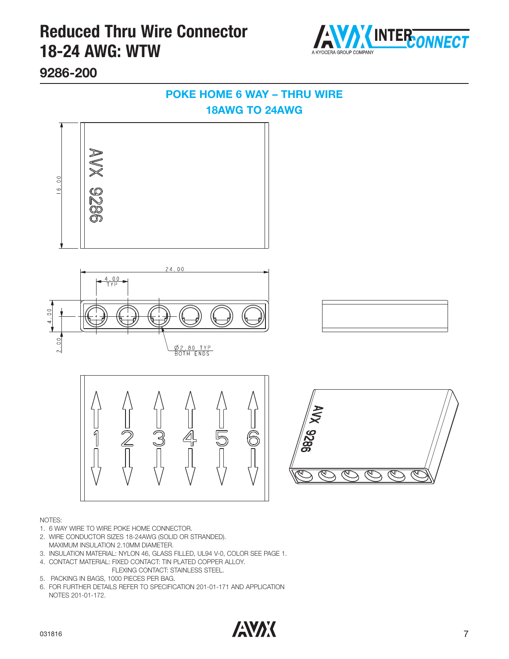

**9286-200**



- 1. 6 WAY WIRE TO WIRE POKE HOME CONNECTOR.
- 2. WIRE CONDUCTOR SIZES 18-24AWG (SOLID OR STRANDED). MAXIMUM INSULATION 2.10MM DIAMETER.
- 3. INSULATION MATERIAL: NYLON 46, GLASS FILLED, UL94 V-0, COLOR SEE PAGE 1.
- 4. CONTACT MATERIAL: FIXED CONTACT: TIN PLATED COPPER ALLOY. FLEXING CONTACT: STAINLESS STEEL.
- 5. PACKING IN BAGS, 1000 PIECES PER BAG.
- 6. FOR FURTHER DETAILS REFER TO SPECIFICATION 201-01-171 AND APPLICATION NOTES 201-01-172.